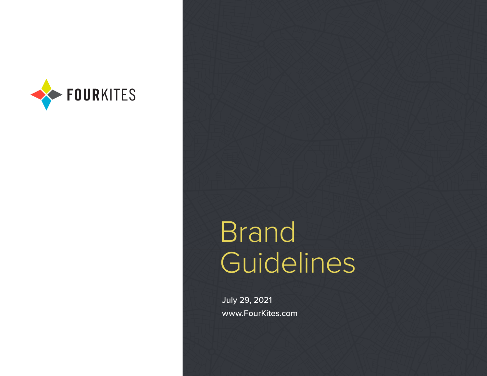

# **Brand Guidelines**

July 29, 2021 www.FourKites.com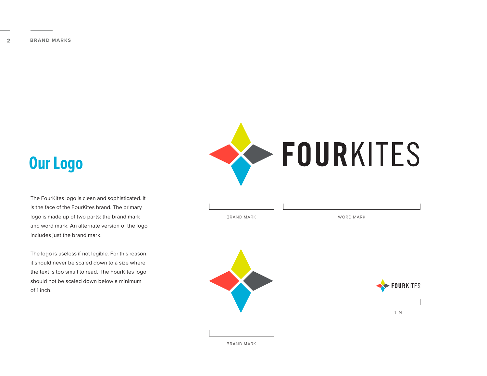### **Our Logo**

The FourKites logo is clean and sophisticated. It is the face of the FourKites brand. The primary logo is made up of two parts: the brand mark and word mark. An alternate version of the logo includes just the brand mark.

The logo is useless if not legible. For this reason, it should never be scaled down to a size where the text is too small to read. The FourKites logo should not be scaled down below a minimum of 1 inch.



| BRAND MARK | WORD MARK |
|------------|-----------|







BRAND MARK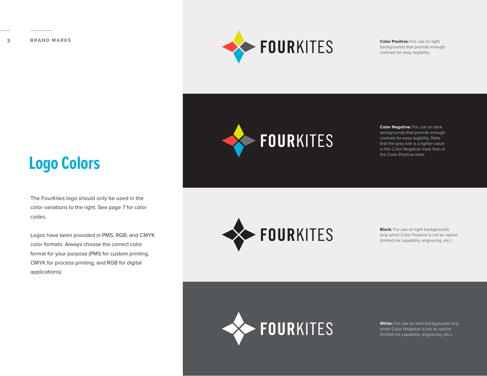

backgrounds that provide enough contrast for easy legibility.

### **Logo Colors**

The FourKites logo should only be used in the color variations to the right. See page 7 for color codes.

Logos have been provided in PMS, RGB, and CMYK color formats. Always choose the correct color format for your purpose (PMS for custom printing, CMYK for process printing, and RGB for digital applications).



**Color Negative:** For use on dark backgrounds that provide enough contrast for easy legibility. Note that the grey kite is a lighter value in the Color Negative mark than in the Color Positive mark.



**Black:** For use on light backgrounds *only* when Color Positive is not an option (limited ink capability, engraving, etc.).



**White:** For use on dark backgrounds *only* when Color Negative is not an option (limited ink capability, engraving, etc.).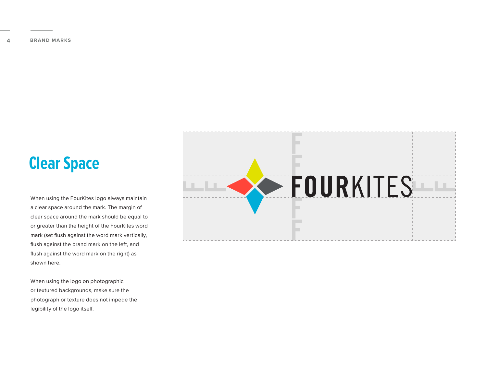### **Clear Space**

When using the FourKites logo always maintain a clear space around the mark. The margin of clear space around the mark should be equal to or greater than the height of the FourKites word mark (set flush against the word mark vertically, flush against the brand mark on the left, and flush against the word mark on the right) as shown here.

When using the logo on photographic or textured backgrounds, make sure the photograph or texture does not impede the legibility of the logo itself.

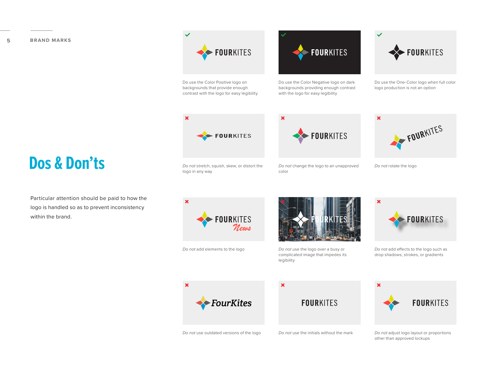### **5 BRAND MARKS**

### **Dos & Don'ts**

Particular attention should be paid to how the logo is handled so as to prevent inconsistency within the brand.

## **FOURKITES** *Do not* stretch, squish, skew, or distort the

 $\overline{\mathbf{x}}$ 



Do use the Color Positive logo on backgrounds that provide enough contrast with the logo for easy legibility

**FOURKITES** 



 $\overline{\mathbf{x}}$ 

Do use the Color Negative logo on dark backgrounds providing enough contrast with the logo for easy legibility

FOURKITES

*Do not* change the logo to an unapproved color



Do use the One-Color logo when full color logo production is not an option

**FOURKITES** 

*Do not* rotate the logo



*Do not* add elements to the logo *Do not* use the logo over a busy or



complicated image that impedes its legibility



*Do not* add effects to the logo such as drop shadows, strokes, or gradients







*Do not* use outdated versions of the logo *Do not* use the initials without the mark *Do not* adjust logo layout or proportions other than approved lockups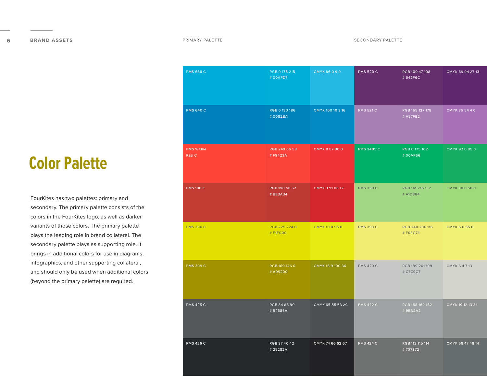### PMS 638 C PMS 640 C PMS Warm Red C PMS 180 C PMS 396 C PMS 399 C PMS 425 C PMS 426 C RGB 0 175 215 # 00AFD7 RGB 0 130 186 # 0082BA RGB 249 66 58 # F9423A RGB 190 58 52 # BE3A34 RGB 225 224 0 # E1E000 RGB 160 146 0 # A09200 RGB 84 88 90 # 54585A RGB 37 40 42 # 25282A CMYK 86 0 9 0 CMYK 100 10 3 16 CMYK 0 87 80 0 CMYK 3 91 86 12 CMYK 10 0 95 0 CMYK 16 9 100 36 CMYK 65 55 53 29 CMYK 74 66 62 67 RGB 100 47 108 # 642F6C RGB 165 127 178 # A57FB2 RGB 0 175 102 # 00AF66 RGB 161 216 132 # A1D884 CMYK 69 94 27 13 CMYK 35 54 4 0 CMYK 92 0 85 0 CMYK 38 0 58 0 PMS 520 C PMS 521 C PMS 3405 C PMS 359 C RGB 240 236 116 # F0EC74 RGB 199 201 199 # C7C9C7 RGB 158 162 162 RGB 112 115 114 # 707372 CMYK 6 0 55 0 CMYK 6 4 7 13 CMYK 19 12 13 34 CMYK 58 47 48 14 PMS 393 C PMS 420 C PMS 422 C PMS 424 C

### **Color Palette**

FourKites has two palettes: primary and secondary. The primary palette consists of the colors in the FourKites logo, as well as darker variants of those colors. The primary palette plays the leading role in brand collateral. The secondary palette plays as supporting role. It brings in additional colors for use in diagrams, infographics, and other supporting collateral, and should only be used when additional colors (beyond the primary palette) are required.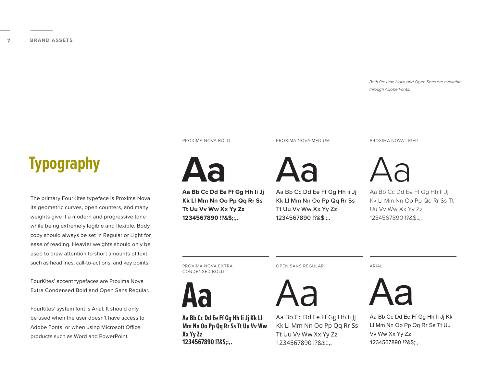*Both Proxima Nova and Open Sans are available through Adobe Fonts.*

### **Typography**

The primary FourKites typeface is Proxima Nova. Its geometric curves, open counters, and many weights give it a modern and progressive tone while being extremely legible and flexible. Body copy should always be set in Regular or Light for ease of reading. Heavier weights should only be used to draw attention to short amounts of text such as headlines, call-to-actions, and key points.

FourKites' accent typefaces are Proxima Nova Extra Condensed Bold and Open Sans Regular.

FourKites' system font is Arial. It should only be used when the user doesn't have access to Adobe Fonts, or when using Microsoft Office products such as Word and PowerPoint.

PROXIMA NOVA BOLD



**Aa Bb Cc Dd Ee Ff Gg Hh Ii Jj Kk Ll Mm Nn Oo Pp Qq Rr Ss Tt Uu Vv Ww Xx Yy Zz 1234567890 !?&\$;:,.**

PROXIMA NOVA MEDIUM



Aa Bb Cc Dd Ee Ff Gg Hh Ii Jj Kk Ll Mm Nn Oo Pp Qq Rr Ss Tt Uu Vv Ww Xx Yy Zz 1234567890 !?&\$;:,.

PROXIMA NOVA LIGHT



Aa Bb Cc Dd Ee Ff Gg Hh Ii Jj Kk Ll Mm Nn Oo Pp Qq Rr Ss Tt Uu Vv Ww Xx Yy Zz 1234567890 !?&\$;:,.

PROXIMA NOVA EXTRA CONDENSED BOLD



**Aa Bb Cc Dd Ee Ff Gg Hh Ii Jj Kk Ll Mm Nn Oo Pp Qq Rr Ss Tt Uu Vv Ww Xx Yy Zz 1234567890 !?&\$;:,.**

OPEN SANS REGULAR



Aa Bb Cc Dd Ee Ff Gg Hh Ii Jj Kk Ll Mm Nn Oo Pp Qq Rr Ss Tt Uu Vv Ww Xx Yy Zz 1234567890 !?&\$;:,.

ARIAL



Aa Bb Cc Dd Ee Ff Gg Hh Ii Jj Kk Ll Mm Nn Oo Pp Qq Rr Ss Tt Uu Vv Ww Xx Yy Zz 1234567890 !?&\$;:,.